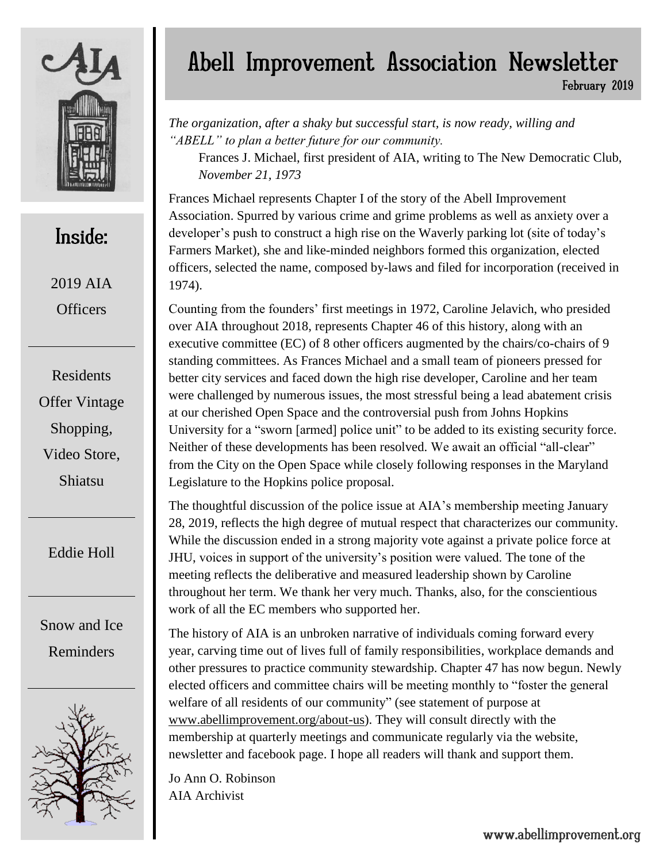

# Inside:

2019 AIA **Officers** 

Residents Offer Vintage Shopping, Video Store, Shiatsu

Eddie Holl

Snow and Ice Reminders



# Abell Improvement Association Newsletter

February 2019

*The organization, after a shaky but successful start, is now ready, willing and "ABELL" to plan a better future for our community.*

Frances J. Michael, first president of AIA, writing to The New Democratic Club, *November 21, 1973*

Frances Michael represents Chapter I of the story of the Abell Improvement Association. Spurred by various crime and grime problems as well as anxiety over a developer's push to construct a high rise on the Waverly parking lot (site of today's Farmers Market), she and like-minded neighbors formed this organization, elected officers, selected the name, composed by-laws and filed for incorporation (received in 1974).

Counting from the founders' first meetings in 1972, Caroline Jelavich, who presided over AIA throughout 2018, represents Chapter 46 of this history, along with an executive committee (EC) of 8 other officers augmented by the chairs/co-chairs of 9 standing committees. As Frances Michael and a small team of pioneers pressed for better city services and faced down the high rise developer, Caroline and her team were challenged by numerous issues, the most stressful being a lead abatement crisis at our cherished Open Space and the controversial push from Johns Hopkins University for a "sworn [armed] police unit" to be added to its existing security force. Neither of these developments has been resolved. We await an official "all-clear" from the City on the Open Space while closely following responses in the Maryland Legislature to the Hopkins police proposal.

The thoughtful discussion of the police issue at AIA's membership meeting January 28, 2019, reflects the high degree of mutual respect that characterizes our community. While the discussion ended in a strong majority vote against a private police force at JHU, voices in support of the university's position were valued. The tone of the meeting reflects the deliberative and measured leadership shown by Caroline throughout her term. We thank her very much. Thanks, also, for the conscientious work of all the EC members who supported her.

The history of AIA is an unbroken narrative of individuals coming forward every year, carving time out of lives full of family responsibilities, workplace demands and other pressures to practice community stewardship. Chapter 47 has now begun. Newly elected officers and committee chairs will be meeting monthly to "foster the general welfare of all residents of our community" (see statement of purpose at [www.abellimprovement.org/about-us\)](http://www.abellimprovement.org/about-us). They will consult directly with the membership at quarterly meetings and communicate regularly via the website, newsletter and facebook page. I hope all readers will thank and support them.

Jo Ann O. Robinson AIA Archivist

www.abellimprovement.org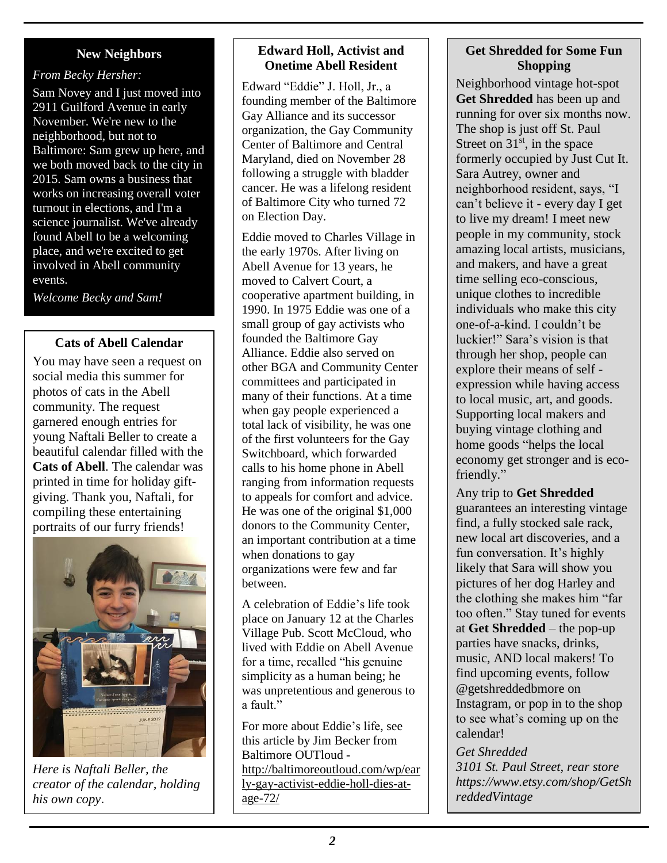## **New Neighbors**

#### *From Becky Hersher:*

Sam Novey and I just moved into 2911 Guilford Avenue in early November. We're new to the neighborhood, but not to Baltimore: Sam grew up here, and we both moved back to the city in 2015. Sam owns a business that works on increasing overall voter turnout in elections, and I'm a science journalist. We've already found Abell to be a welcoming place, and we're excited to get involved in Abell community events.

*Welcome Becky and Sam!* 

## **Cats of Abell Calendar**

You may have seen a request on social media this summer for photos of cats in the Abell community. The request garnered enough entries for young Naftali Beller to create a beautiful calendar filled with the **Cats of Abell**. The calendar was printed in time for holiday giftgiving. Thank you, Naftali, for compiling these entertaining portraits of our furry friends!



*Here is Naftali Beller, the creator of the calendar, holding his own copy*.

#### **Edward Holl, Activist and Onetime Abell Resident**

Edward "Eddie" J. Holl, Jr., a founding member of the Baltimore Gay Alliance and its successor organization, the Gay Community Center of Baltimore and Central Maryland, died on November 28 following a struggle with bladder cancer. He was a lifelong resident of Baltimore City who turned 72 on Election Day.

Eddie moved to Charles Village in the early 1970s. After living on Abell Avenue for 13 years, he moved to Calvert Court, a cooperative apartment building, in 1990. In 1975 Eddie was one of a small group of gay activists who founded the Baltimore Gay Alliance. Eddie also served on other BGA and Community Center committees and participated in many of their functions. At a time when gay people experienced a total lack of visibility, he was one of the first volunteers for the Gay Switchboard, which forwarded calls to his home phone in Abell ranging from information requests to appeals for comfort and advice. He was one of the original \$1,000 donors to the Community Center, an important contribution at a time when donations to gay organizations were few and far between.

A celebration of Eddie's life took place on January 12 at the Charles Village Pub. Scott McCloud, who lived with Eddie on Abell Avenue for a time, recalled "his genuine simplicity as a human being; he was unpretentious and generous to a fault."

For more about Eddie's life, see this article by Jim Becker from Baltimore OUTloud [http://baltimoreoutloud.com/wp/ear](http://baltimoreoutloud.com/wp/early-gay-activist-eddie-holl-dies-at-age-72/) [ly-gay-activist-eddie-holl-dies-at](http://baltimoreoutloud.com/wp/early-gay-activist-eddie-holl-dies-at-age-72/)[age-72/](http://baltimoreoutloud.com/wp/early-gay-activist-eddie-holl-dies-at-age-72/)

## **Get Shredded for Some Fun Shopping**

Neighborhood vintage hot-spot **Get Shredded** has been up and running for over six months now. The shop is just off St. Paul Street on  $31<sup>st</sup>$ , in the space formerly occupied by Just Cut It. Sara Autrey, owner and neighborhood resident, says, "I can't believe it - every day I get to live my dream! I meet new people in my community, stock amazing local artists, musicians, and makers, and have a great time selling eco-conscious, unique clothes to incredible individuals who make this city one-of-a-kind. I couldn't be luckier!" Sara's vision is that through her shop, people can explore their means of self expression while having access to local music, art, and goods. Supporting local makers and buying vintage clothing and home goods "helps the local economy get stronger and is ecofriendly."

Any trip to **Get Shredded** guarantees an interesting vintage find, a fully stocked sale rack, new local art discoveries, and a fun conversation. It's highly likely that Sara will show you pictures of her dog Harley and the clothing she makes him "far too often." Stay tuned for events at **Get Shredded** – the pop-up parties have snacks, drinks, music, AND local makers! To find upcoming events, follow @getshreddedbmore on Instagram, or pop in to the shop to see what's coming up on the calendar!

*Get Shredded 3101 St. Paul Street, rear store https://www.etsy.com/shop/GetSh reddedVintage*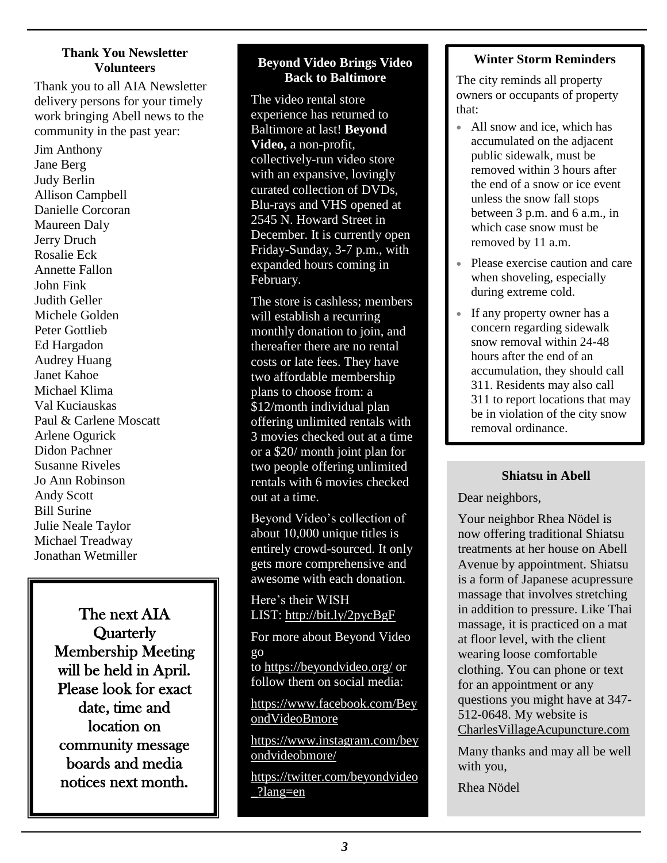#### **Thank You Newsletter Volunteers**

Thank you to all AIA Newsletter delivery persons for your timely work bringing Abell news to the community in the past year:

Jim Anthony Jane Berg Judy Berlin Allison Campbell Danielle Corcoran Maureen Daly Jerry Druch Rosalie Eck Annette Fallon John Fink Judith Geller Michele Golden Peter Gottlieb Ed Hargadon Audrey Huang Janet Kahoe Michael Klima Val Kuciauskas Paul & Carlene Moscatt Arlene Ogurick Didon Pachner Susanne Riveles Jo Ann Robinson Andy Scott Bill Surine Julie Neale Taylor Michael Treadway Jonathan Wetmiller

> The next AIA **Quarterly** Membership Meeting will be held in April. Please look for exact date, time and location on community message boards and media notices next month.

### **Beyond Video Brings Video Back to Baltimore**

The video rental store experience has returned to Baltimore at last! **Beyond Video,** a non-profit, collectively-run video store with an expansive, lovingly curated collection of DVDs, Blu-rays and VHS opened at 2545 N. Howard Street in December. It is currently open Friday-Sunday, 3-7 p.m., with expanded hours coming in February.

The store is cashless; members will establish a recurring monthly donation to join, and thereafter there are no rental costs or late fees. They have two affordable membership plans to choose from: a \$12/month individual plan offering unlimited rentals with 3 movies checked out at a time or a \$20/ month joint plan for two people offering unlimited rentals with 6 movies checked out at a time.

Beyond Video's collection of about 10,000 unique titles is entirely crowd-sourced. It only gets more comprehensive and awesome with each donation.

Here's their WISH LIST: <http://bit.ly/2pycBgF>

For more about Beyond Video go to <https://beyondvideo.org/> or follow them on social media:

[https://www.facebook.com/Bey](https://www.facebook.com/BeyondVideoBmore) [ondVideoBmore](https://www.facebook.com/BeyondVideoBmore)

[https://www.instagram.com/bey](https://www.instagram.com/beyondvideobmore/) [ondvideobmore/](https://www.instagram.com/beyondvideobmore/)

[https://twitter.com/beyondvideo](https://twitter.com/beyondvideo_?lang=en) [\\_?lang=en](https://twitter.com/beyondvideo_?lang=en)

# **Winter Storm Reminders**

The city reminds all property owners or occupants of property that:

- All snow and ice, which has accumulated on the adjacent public sidewalk, must be removed within 3 hours after the end of a snow or ice event unless the snow fall stops between 3 p.m. and 6 a.m., in which case snow must be removed by 11 a.m.
- Please exercise caution and care when shoveling, especially during extreme cold.
- If any property owner has a concern regarding sidewalk snow removal within 24-48 hours after the end of an accumulation, they should call 311. Residents may also call 311 to report locations that may be in violation of the city snow removal ordinance.

## **Shiatsu in Abell**

Dear neighbors,

Your neighbor Rhea Nödel is now offering traditional Shiatsu treatments at her house on Abell Avenue by appointment. Shiatsu is a form of Japanese acupressure massage that involves stretching in addition to pressure. Like Thai massage, it is practiced on a mat at floor level, with the client wearing loose comfortable clothing. You can phone or text for an appointment or any questions you might have at 347- 512-0648. My website is [CharlesVillageAcupuncture.com](http://www.charlesvillageacupuncture.com/)

Many thanks and may all be well with you,

Rhea Nödel